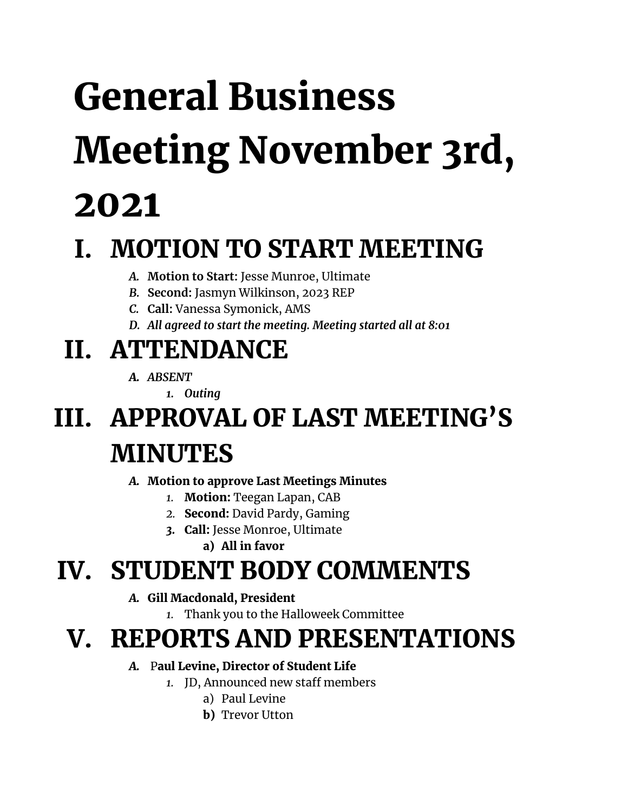# General Business Meeting November 3rd, 2021

## I. MOTION TO START MEETING

- *A.* **Motion to Start:** Jesse Munroe, Ultimate
- *B.* **Second:** Jasmyn Wilkinson, 2023 REP
- *C.* **Call:** Vanessa Symonick, AMS
- *D. All agreed to start the meeting. Meeting started all at 8:01*

# II. ATTENDANCE

- *A. ABSENT*
	- *1. Outing*

# III. APPROVAL OF LAST MEETING'S MINUTES

#### *A.* Motion to approve Last Meetings Minutes

- *1.* Motion: Teegan Lapan, CAB
- *2.* Second: David Pardy, Gaming
- *3.* Call: Jesse Monroe, Ultimate
	- a) All in favor

### IV. STUDENT BODY COMMENTS

- *A.* Gill Macdonald, President
	- *1.* Thank you to the Halloweek Committee

### V. REPORTS AND PRESENTATIONS

#### *A.* Paul Levine, Director of Student Life

- *1.* JD, Announced new staff members
	- a) Paul Levine
	- **b**) Trevor Utton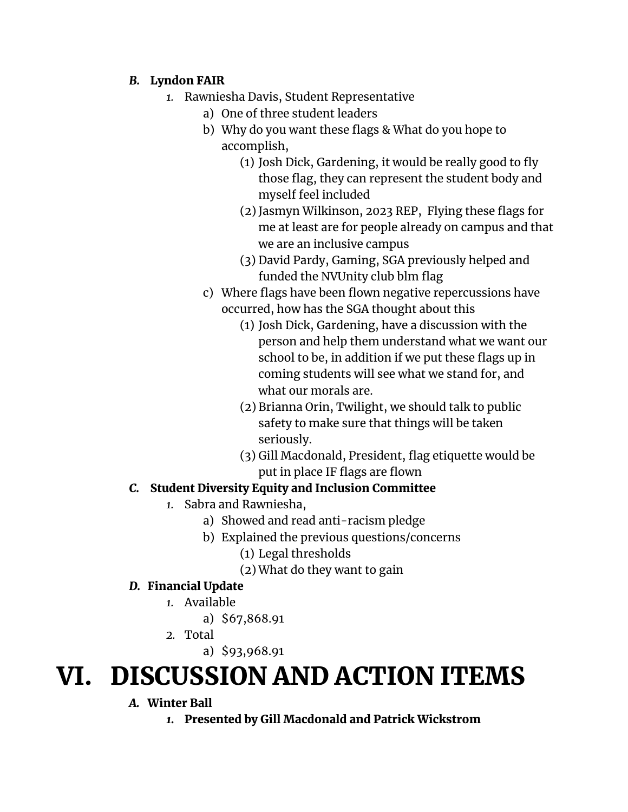#### *B.* Lyndon FAIR

- *1.* Rawniesha Davis, Student Representative
	- a) One of three student leaders
	- b) Why do you want these flags & What do you hope to accomplish,
		- (1) Josh Dick, Gardening, it would be really good to fly those flag, they can represent the student body and myself feel included
		- (2) Jasmyn Wilkinson, 2023 REP, Flying these flags for me at least are for people already on campus and that we are an inclusive campus
		- (3) David Pardy, Gaming, SGA previously helped and funded the NVUnity club blm flag
	- c) Where flags have been flown negative repercussions have occurred, how has the SGA thought about this
		- (1) Josh Dick, Gardening, have a discussion with the person and help them understand what we want our school to be, in addition if we put these flags up in coming students will see what we stand for, and what our morals are.
		- (2) Brianna Orin, Twilight, we should talk to public safety to make sure that things will be taken seriously.
		- (3) Gill Macdonald, President, flag etiquette would be put in place IF flags are flown

#### *C.* Student Diversity Equity and Inclusion Committee

- *1.* Sabra and Rawniesha,
	- a) Showed and read anti-racism pledge
	- b) Explained the previous questions/concerns
		- (1) Legal thresholds
		- (2) What do they want to gain

#### *D.* Financial Update

- *1.* Available
	- a) \$67,868.91
- *2.* Total
	- a) \$93,968.91

### VI. DISCUSSION AND ACTION ITEMS

#### *A.* Winter Ball

*1.* Presented by Gill Macdonald and Patrick Wickstrom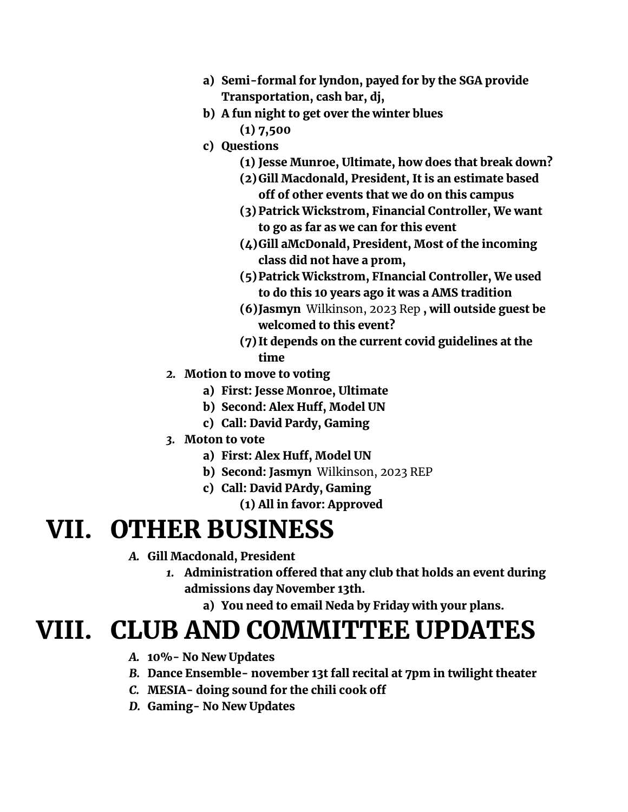- a) Semi-formal for lyndon, payed for by the SGA provide Transportation, cash bar, dj,
- b) A fun night to get over the winter blues (1) 7,500
- c) Questions
	- (1) Jesse Munroe, Ultimate, how does that break down?
	- (2)Gill Macdonald, President, It is an estimate based off of other events that we do on this campus
	- (3) Patrick Wickstrom, Financial Controller, We want to go as far as we can for this event
	- (4)Gill aMcDonald, President, Most of the incoming class did not have a prom,
	- (5)Patrick Wickstrom, FInancial Controller, We used to do this 10 years ago it was a AMS tradition
	- (6)Jasmyn Wilkinson, 2023 Rep , will outside guest be welcomed to this event?
	- (7) It depends on the current covid guidelines at the time
- *2.* Motion to move to voting
	- a) First: Jesse Monroe, Ultimate
	- b) Second: Alex Huff, Model UN
	- c) Call: David Pardy, Gaming
- *3.* Moton to vote
	- a) First: Alex Huff, Model UN
	- b) Second: Jasmyn Wilkinson, 2023 REP
	- c) Call: David PArdy, Gaming
		- (1) All in favor: Approved

### VII. OTHER BUSINESS

- *A.* Gill Macdonald, President
	- *1.* Administration offered that any club that holds an event during admissions day November 13th.
		- a) You need to email Neda by Friday with your plans.

### VIII. CLUB AND COMMITTEE UPDATES

- *A.* 10%- No New Updates
- *B.* Dance Ensemble- november 13t fall recital at 7pm in twilight theater
- *C.* MESIA- doing sound for the chili cook off
- *D.* Gaming- No New Updates